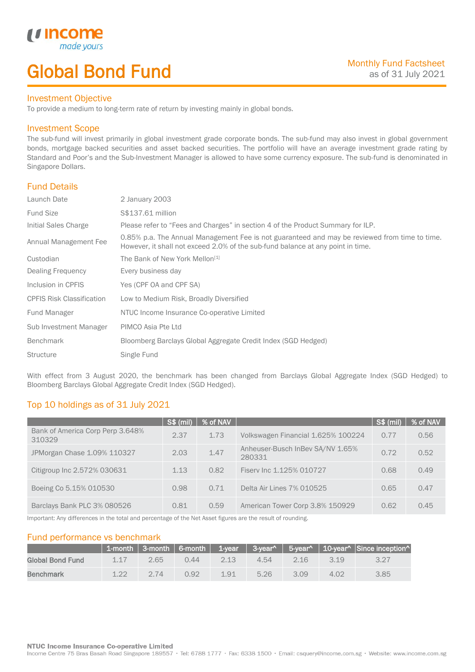# Global Bond Fund

### Investment Objective

made<sub>1</sub>

*u* incom

I

To provide a medium to long-term rate of return by investing mainly in global bonds.

## Investment Scope

The sub-fund will invest primarily in global investment grade corporate bonds. The sub-fund may also invest in global government bonds, mortgage backed securities and asset backed securities. The portfolio will have an average investment grade rating by Standard and Poor's and the Sub-Investment Manager is allowed to have some currency exposure. The sub-fund is denominated in Singapore Dollars.

# Fund Details

| Launch Date                      | 2 January 2003                                                                                                                                                                   |
|----------------------------------|----------------------------------------------------------------------------------------------------------------------------------------------------------------------------------|
| <b>Fund Size</b>                 | S\$137.61 million                                                                                                                                                                |
| Initial Sales Charge             | Please refer to "Fees and Charges" in section 4 of the Product Summary for ILP.                                                                                                  |
| Annual Management Fee            | 0.85% p.a. The Annual Management Fee is not guaranteed and may be reviewed from time to time.<br>However, it shall not exceed 2.0% of the sub-fund balance at any point in time. |
| Custodian                        | The Bank of New York Mellon <sup>[1]</sup>                                                                                                                                       |
| Dealing Frequency                | Every business day                                                                                                                                                               |
| Inclusion in CPFIS               | Yes (CPF OA and CPF SA)                                                                                                                                                          |
| <b>CPFIS Risk Classification</b> | Low to Medium Risk, Broadly Diversified                                                                                                                                          |
| Fund Manager                     | NTUC Income Insurance Co-operative Limited                                                                                                                                       |
| Sub Investment Manager           | PIMCO Asia Pte Ltd                                                                                                                                                               |
| <b>Benchmark</b>                 | Bloomberg Barclays Global Aggregate Credit Index (SGD Hedged)                                                                                                                    |
| <b>Structure</b>                 | Single Fund                                                                                                                                                                      |

With effect from 3 August 2020, the benchmark has been changed from Barclays Global Aggregate Index (SGD Hedged) to Bloomberg Barclays Global Aggregate Credit Index (SGD Hedged).

# Top 10 holdings as of 31 July 2021

|                                            | <b>S\$ (mil)</b> | % of NAV |                                            | S\$ (mil) | % of NAV |
|--------------------------------------------|------------------|----------|--------------------------------------------|-----------|----------|
| Bank of America Corp Perp 3.648%<br>310329 | 2.37             | 1.73     | Volkswagen Financial 1.625% 100224         | 0.77      | 0.56     |
| JPMorgan Chase 1.09% 110327                | 2.03             | 1.47     | Anheuser-Busch InBev SA/NV 1.65%<br>280331 | 0.72      | 0.52     |
| Citigroup Inc 2.572% 030631                | 1.13             | 0.82     | Fisery Inc 1.125% 010727                   | 0.68      | 0.49     |
| Boeing Co 5.15% 010530                     | 0.98             | 0.71     | Delta Air Lines 7% 010525                  | 0.65      | 0.47     |
| Barclays Bank PLC 3% 080526                | 0.81             | 0.59     | American Tower Corp 3.8% 150929            | 0.62      | 0.45     |

Important: Any differences in the total and percentage of the Net Asset figures are the result of rounding.

# Fund performance vs benchmark

|                  |       |      |      |      |      |      |       | 1-month 3-month 6-month 1-year 3-year^ 5-year^ 10-year^ Since inception^ |
|------------------|-------|------|------|------|------|------|-------|--------------------------------------------------------------------------|
| Global Bond Fund | 1 1 7 | 2.65 | 0.44 | 2.13 | 4.54 | 2.16 | 3 1 9 |                                                                          |
| Benchmark        | 122   | 274  | 0.92 | 191  | 5.26 | 3.09 | 4.02  | 3.85                                                                     |